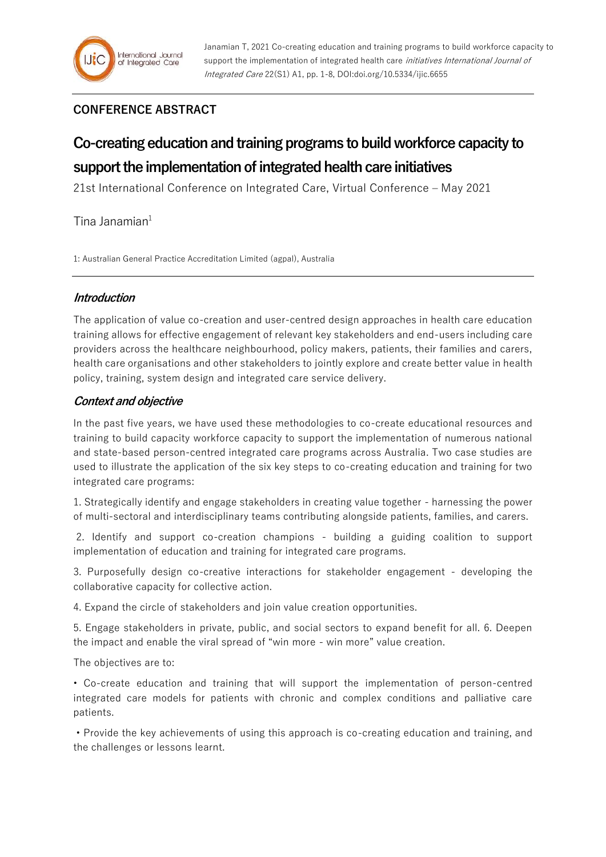## **CONFERENCE ABSTRACT**

# **Co-creating education and training programs to build workforce capacity to support the implementation of integrated health care initiatives**

21st International Conference on Integrated Care, Virtual Conference – May 2021

 $T$ ina Janamian $1$ 

1: Australian General Practice Accreditation Limited (agpal), Australia

#### **Introduction**

The application of value co-creation and user-centred design approaches in health care education training allows for effective engagement of relevant key stakeholders and end-users including care providers across the healthcare neighbourhood, policy makers, patients, their families and carers, health care organisations and other stakeholders to jointly explore and create better value in health policy, training, system design and integrated care service delivery.

## **Context and objective**

In the past five years, we have used these methodologies to co-create educational resources and training to build capacity workforce capacity to support the implementation of numerous national and state-based person-centred integrated care programs across Australia. Two case studies are used to illustrate the application of the six key steps to co-creating education and training for two integrated care programs:

1. Strategically identify and engage stakeholders in creating value together - harnessing the power of multi-sectoral and interdisciplinary teams contributing alongside patients, families, and carers.

2. Identify and support co-creation champions - building a guiding coalition to support implementation of education and training for integrated care programs.

3. Purposefully design co-creative interactions for stakeholder engagement - developing the collaborative capacity for collective action.

4. Expand the circle of stakeholders and join value creation opportunities.

5. Engage stakeholders in private, public, and social sectors to expand benefit for all. 6. Deepen the impact and enable the viral spread of "win more - win more" value creation.

The objectives are to:

• Co-create education and training that will support the implementation of person-centred integrated care models for patients with chronic and complex conditions and palliative care patients.

• Provide the key achievements of using this approach is co-creating education and training, and the challenges or lessons learnt.